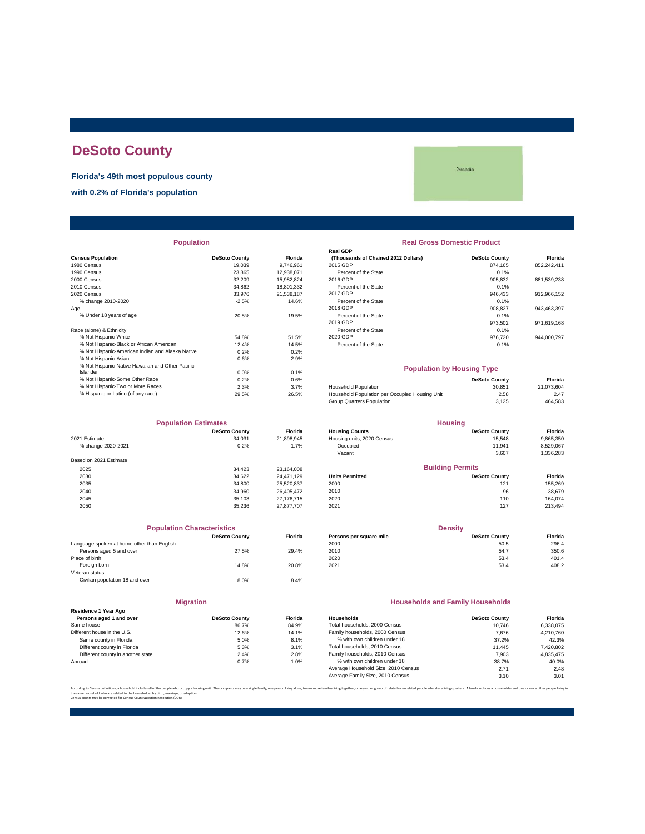# **DeSoto County**

**Florida's 49th most populous county**

**with 0.2% of Florida's population**

**Arcadia** 

# **Census Population**<br>1980 Census **Property County DeSoto County Florida**<br>1980 Census 199746,961 1990 Census 23,865 12,938,071 Percent of the State 0.1% 2010 Census 2008 18,802 18,802 18,802 18,801,332 Percent of the State 0.1% 2010 Census 2010 Census 2019 0.1% % change 2010-2020 -2.5% Percent of the State of the State of the State 0.1% Percent of the State 0.1% Percent<br>Bercent of the State 0.1% Percent of the State 0.1% Percent of the State 0.1% Percent of the State 0.1% Percen % Not Hispanic-Asian 0.6% 2.9% % Not Hispanic-Native Hawaiian and Other Pacific Islander 0.0% 0.1% % Not Hispanic-Some Other Race 0.2% 0.6% **DeSoto County Florida Population Real Gross Domestic Product**

|                        | <b>Population Estimates</b> |                |                            | <b>Housing</b>          |           |
|------------------------|-----------------------------|----------------|----------------------------|-------------------------|-----------|
|                        | <b>DeSoto County</b>        | <b>Florida</b> | <b>Housing Counts</b>      | <b>DeSoto County</b>    | Florida   |
| 2021 Estimate          | 34.031                      | 21,898,945     | Housing units, 2020 Census | 15.548                  | 9,865,350 |
| % change 2020-2021     | 0.2%                        | 1.7%           | Occupied                   | 11.941                  | 8,529,067 |
|                        |                             |                | Vacant                     | 3,607                   | 1,336,283 |
| Based on 2021 Estimate |                             |                |                            |                         |           |
| 2025                   | 34.423                      | 23,164,008     |                            | <b>Building Permits</b> |           |
| 2030                   | 34.622                      | 24.471.129     | <b>Units Permitted</b>     | <b>DeSoto County</b>    | Florida   |
| 2035                   | 34,800                      | 25,520,837     | 2000                       | 121                     | 155,269   |
| 2040                   | 34.960                      | 26.405.472     | 2010                       | 96                      | 38,679    |
| 2045                   | 35.103                      | 27.176.715     | 2020                       | 110                     | 164.074   |
| 2050                   | 35.236                      | 27,877,707     | 2021                       | 127                     | 213,494   |

| <b>Population Characteristics</b>          |                      |                |
|--------------------------------------------|----------------------|----------------|
|                                            | <b>DeSoto County</b> | <b>Florida</b> |
| Language spoken at home other than English |                      |                |
| Persons aged 5 and over                    | 27.5%                | 29.4%          |
| Place of birth                             |                      |                |
| Foreign born                               | 14.8%                | 20.8%          |
| Veteran status                             |                      |                |
| Civilian population 18 and over            | 8.0%                 | 8.4%           |
|                                            |                      |                |
|                                            |                      |                |

|                                                 | -------------        |               |
|-------------------------------------------------|----------------------|---------------|
| Residence 1 Year Ago<br>Persons aged 1 and over | <b>DeSoto County</b> | <b>Floric</b> |
|                                                 |                      |               |
| Same house                                      | 86.7%                | 84.9          |
| Different house in the U.S.                     | 12.6%                | 14.1'         |
| Same county in Florida                          | 5.0%                 | 8.1'          |
| Different county in Florida                     | 5.3%                 | 3.1'          |
| Different county in another state               | 2.4%                 | 2.8           |
| Abroad                                          | 0.7%                 | 1.0           |
|                                                 |                      |               |

**Migration**

|                                                  |                      |                | <b>Real GDP</b>                     |                      |             |
|--------------------------------------------------|----------------------|----------------|-------------------------------------|----------------------|-------------|
| <b>Census Population</b>                         | <b>DeSoto County</b> | <b>Florida</b> | (Thousands of Chained 2012 Dollars) | <b>DeSoto County</b> | Florida     |
| 1980 Census                                      | 19.039               | 9.746.961      | 2015 GDP                            | 874.165              | 852.242.411 |
| 1990 Census                                      | 23.865               | 12.938.071     | Percent of the State                | 0.1%                 |             |
| 2000 Census                                      | 32.209               | 15.982.824     | 2016 GDP                            | 905.832              | 881.539.238 |
| 2010 Census                                      | 34.862               | 18.801.332     | Percent of the State                | 0.1%                 |             |
| 2020 Census                                      | 33,976               | 21.538.187     | 2017 GDP                            | 946.433              | 912.966.152 |
| % change 2010-2020                               | $-2.5%$              | 14.6%          | Percent of the State                | 0.1%                 |             |
| Aae                                              |                      |                | 2018 GDP                            | 908.827              | 943.463.397 |
| % Under 18 years of age                          | 20.5%                | 19.5%          | Percent of the State                | 0.1%                 |             |
|                                                  |                      |                | 2019 GDP                            | 973.502              | 971.619.168 |
| Race (alone) & Ethnicity                         |                      |                | Percent of the State                | 0.1%                 |             |
| % Not Hispanic-White                             | 54.8%                | 51.5%          | 2020 GDP                            | 976,720              | 944.000.797 |
| % Not Hispanic-Black or African American         | 12.4%                | 14.5%          | Percent of the State                | 0.1%                 |             |
| % Not Hispanic-American Indian and Alaska Native | 0.2%                 | 0.2%           |                                     |                      |             |

#### **Population by Housing Type**

| % Not Hispanic-Some Other Race     | $0.2\%$ | 0.6%  |                                                | <b>DeSoto County</b> | Florida    |
|------------------------------------|---------|-------|------------------------------------------------|----------------------|------------|
| % Not Hispanic-Two or More Races   | 2.3%    | 3.7%  | <b>Household Population</b>                    | 30.851               | 21.073.604 |
| % Hispanic or Latino (of any race) | 29.5%   | 26.5% | Household Population per Occupied Housing Unit | 2.58                 | 2.47       |
|                                    |         |       | Group Quarters Population                      | 3.125                | 464.583    |

|                        | <b>Population Estimates</b> |                |                            | <b>Housing</b>          |           |
|------------------------|-----------------------------|----------------|----------------------------|-------------------------|-----------|
|                        | <b>DeSoto County</b>        | <b>Florida</b> | <b>Housing Counts</b>      | <b>DeSoto County</b>    | Florida   |
| 2021 Estimate          | 34.031                      | 21.898.945     | Housing units, 2020 Census | 15.548                  | 9,865,350 |
| % change 2020-2021     | 0.2%                        | 1.7%           | Occupied                   | 11.941                  | 8.529.067 |
|                        |                             |                | Vacant                     | 3,607                   | 1,336,283 |
| Based on 2021 Estimate |                             |                |                            |                         |           |
| 2025                   | 34.423                      | 23.164.008     |                            | <b>Building Permits</b> |           |
| 2030                   | 34.622                      | 24.471.129     | <b>Units Permitted</b>     | <b>DeSoto County</b>    | Florida   |
| 2035                   | 34,800                      | 25.520.837     | 2000                       | 121                     | 155,269   |
| 2040                   | 34,960                      | 26.405.472     | 2010                       | 96                      | 38,679    |
| 2045                   | 35.103                      | 27.176.715     | 2020                       | 110                     | 164.074   |
|                        |                             |                |                            |                         |           |

| <b>Population Characteristics</b>          |                      |                |                         | <b>Density</b>       |         |
|--------------------------------------------|----------------------|----------------|-------------------------|----------------------|---------|
|                                            | <b>DeSoto County</b> | <b>Florida</b> | Persons per square mile | <b>DeSoto County</b> | Florida |
| Language spoken at home other than English |                      |                | 2000                    | 50.5                 | 296.4   |
| Persons aged 5 and over                    | 27.5%                | 29.4%          | 2010                    | 54.7                 | 350.6   |
| Place of birth                             |                      |                | 2020                    | 53.4                 | 401.4   |
| Foreign born                               | 14.8%                | 20.8%          | 2021                    | 53.4                 | 408.2   |
|                                            |                      |                |                         |                      |         |

#### **Households and Family Households**

| Residence 1 Year Ago              |                      |                |                                     |                      |           |
|-----------------------------------|----------------------|----------------|-------------------------------------|----------------------|-----------|
| Persons aged 1 and over           | <b>DeSoto County</b> | <b>Florida</b> | Households                          | <b>DeSoto County</b> | Florida   |
| Same house                        | 86.7%                | 84.9%          | Total households, 2000 Census       | 10.746               | 6.338.075 |
| Different house in the U.S.       | 12.6%                | 14.1%          | Family households, 2000 Census      | 7.676                | 4.210.760 |
| Same county in Florida            | 5.0%                 | 8.1%           | % with own children under 18        | 37.2%                | 42.3%     |
| Different county in Florida       | 5.3%                 | 3.1%           | Total households, 2010 Census       | 11.445               | 7.420.802 |
| Different county in another state | 2.4%                 | 2.8%           | Family households, 2010 Census      | 7.903                | 4.835.475 |
| Abroad                            | 0.7%                 | 1.0%           | % with own children under 18        | 38.7%                | 40.0%     |
|                                   |                      |                | Average Household Size, 2010 Census | 2.71                 | 2.48      |
|                                   |                      |                | Average Family Size, 2010 Census    | 3.10                 | 3.01      |
|                                   |                      |                |                                     |                      |           |

.<br>In living alone, two or more families living together, or any other group of related or unrelated people who share living quarters. A family includes a householder and one or more other people li the same household who are related to the householder by birth, marriage, or adoption. Census counts may be corrected for Census Count Question Resolution (CQR).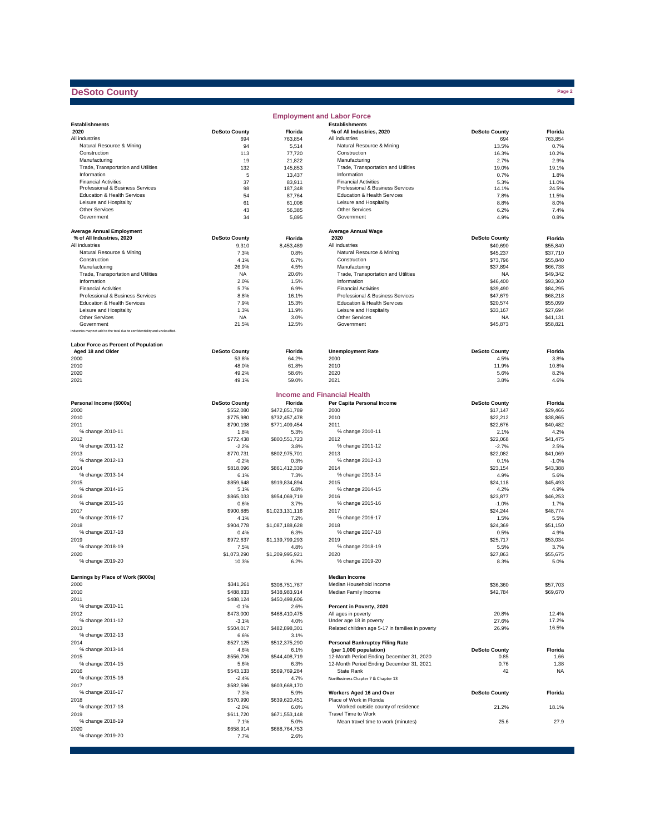## **DeSoto County**

|                                                                              |                        |                                | <b>Employment and Labor Force</b>                         |                      |                      |
|------------------------------------------------------------------------------|------------------------|--------------------------------|-----------------------------------------------------------|----------------------|----------------------|
| <b>Establishments</b>                                                        |                        |                                | <b>Establishments</b>                                     |                      |                      |
| 2020                                                                         | <b>DeSoto County</b>   | Florida                        | % of All Industries, 2020                                 | <b>DeSoto County</b> | Florida              |
| All industries                                                               | 694                    | 763,854                        | All industries                                            | 694                  | 763,854              |
| Natural Resource & Mining<br>Construction                                    | 94<br>113              | 5,514                          | Natural Resource & Mining<br>Construction                 | 13.5%<br>16.3%       | 0.7%<br>10.2%        |
| Manufacturing                                                                | 19                     | 77,720<br>21,822               | Manufacturing                                             | 2.7%                 | 2.9%                 |
| Trade, Transportation and Utilities                                          | 132                    | 145,853                        | Trade, Transportation and Utilities                       | 19.0%                | 19.1%                |
| Information                                                                  | 5                      | 13,437                         | Information                                               | 0.7%                 | 1.8%                 |
| <b>Financial Activities</b>                                                  | 37                     | 83,911                         | <b>Financial Activities</b>                               | 5.3%                 | 11.0%                |
| Professional & Business Services                                             | 98                     | 187,348                        | Professional & Business Services                          | 14.1%                | 24.5%                |
| Education & Health Services                                                  | 54                     | 87,764                         | Education & Health Services                               | 7.8%                 | 11.5%                |
| Leisure and Hospitality<br><b>Other Services</b>                             | 61                     | 61,008                         | Leisure and Hospitality<br>Other Services                 | 8.8%                 | 8.0%                 |
| Government                                                                   | 43<br>34               | 56,385<br>5,895                | Government                                                | 6.2%<br>4.9%         | 7.4%<br>0.8%         |
|                                                                              |                        |                                |                                                           |                      |                      |
| <b>Average Annual Employment</b>                                             |                        |                                | <b>Average Annual Wage</b>                                |                      |                      |
| % of All Industries, 2020                                                    | <b>DeSoto County</b>   | Florida                        | 2020                                                      | <b>DeSoto County</b> | Florida              |
| All industries                                                               | 9,310                  | 8,453,489                      | All industries                                            | \$40,690             | \$55,840             |
| Natural Resource & Mining                                                    | 7.3%                   | 0.8%                           | Natural Resource & Mining                                 | \$45,237             | \$37,710             |
| Construction                                                                 | 4.1%                   | 6.7%                           | Construction                                              | \$73,796             | \$55,840             |
| Manufacturing                                                                | 26.9%                  | 4.5%                           | Manufacturing                                             | \$37,894             | \$66,738             |
| Trade, Transportation and Utilities                                          | <b>NA</b>              | 20.6%                          | Trade, Transportation and Utilities                       | <b>NA</b>            | \$49,342             |
| Information<br><b>Financial Activities</b>                                   | 2.0%                   | 1.5%                           | Information<br><b>Financial Activities</b>                | \$46,400             | \$93,360             |
| Professional & Business Services                                             | 5.7%<br>8.8%           | 6.9%<br>16.1%                  | Professional & Business Services                          | \$39,490<br>\$47,679 | \$84,295<br>\$68,218 |
| Education & Health Services                                                  | 7.9%                   | 15.3%                          | Education & Health Services                               | \$20,574             | \$55,099             |
| Leisure and Hospitality                                                      | 1.3%                   | 11.9%                          | Leisure and Hospitality                                   | \$33,167             | \$27,694             |
| <b>Other Services</b>                                                        | <b>NA</b>              | 3.0%                           | Other Services                                            | <b>NA</b>            | \$41,131             |
| Government                                                                   | 21.5%                  | 12.5%                          | Government                                                | \$45,873             | \$58,821             |
| Industries may not add to the total due to confidentiality and unclassified. |                        |                                |                                                           |                      |                      |
|                                                                              |                        |                                |                                                           |                      |                      |
| Labor Force as Percent of Population<br>Aged 18 and Older                    | <b>DeSoto County</b>   | Florida                        | <b>Unemployment Rate</b>                                  | <b>DeSoto County</b> | Florida              |
| 2000                                                                         | 53.8%                  | 64.2%                          | 2000                                                      | 4.5%                 | 3.8%                 |
| 2010                                                                         | 48.0%                  | 61.8%                          | 2010                                                      | 11.9%                | 10.8%                |
| 2020                                                                         | 49.2%                  | 58.6%                          | 2020                                                      | 5.6%                 | 8.2%                 |
| 2021                                                                         | 49.1%                  | 59.0%                          | 2021                                                      | 3.8%                 | 4.6%                 |
|                                                                              |                        |                                |                                                           |                      |                      |
|                                                                              |                        |                                | <b>Income and Financial Health</b>                        |                      |                      |
| Personal Income (\$000s)                                                     | <b>DeSoto County</b>   | Florida                        | Per Capita Personal Income                                | <b>DeSoto County</b> | Florida              |
| 2000<br>2010                                                                 | \$552,080              | \$472,851,789                  | 2000<br>2010                                              | \$17,147             | \$29,466<br>\$38,865 |
| 2011                                                                         | \$775,980<br>\$790,198 | \$732,457,478<br>\$771,409,454 | 2011                                                      | \$22,212<br>\$22,676 | \$40,482             |
| % change 2010-11                                                             | 1.8%                   | 5.3%                           | % change 2010-11                                          | 2.1%                 | 4.2%                 |
| 2012                                                                         | \$772,438              | \$800,551,723                  | 2012                                                      | \$22,068             | \$41,475             |
| % change 2011-12                                                             | $-2.2%$                | 3.8%                           | % change 2011-12                                          | $-2.7%$              | 2.5%                 |
| 2013                                                                         | \$770,731              | \$802,975,701                  | 2013                                                      | \$22,082             | \$41,069             |
| % change 2012-13                                                             | $-0.2%$                | 0.3%                           | % change 2012-13                                          | 0.1%                 | $-1.0%$              |
| 2014                                                                         | \$818,096              | \$861,412,339                  | 2014                                                      | \$23,154             | \$43,388             |
| % change 2013-14                                                             | 6.1%                   | 7.3%                           | % change 2013-14                                          | 4.9%                 | 5.6%                 |
| 2015                                                                         | \$859,648              | \$919,834,894                  | 2015                                                      | \$24,118             | \$45,493             |
| % change 2014-15                                                             | 5.1%                   | 6.8%                           | % change 2014-15                                          | 4.2%                 | 4.9%                 |
| 2016                                                                         | \$865,033              | \$954,069,719                  | 2016                                                      | \$23,877             | \$46,253             |
| % change 2015-16                                                             | 0.6%                   | 3.7%                           | % change 2015-16                                          | $-1.0%$              | 1.7%                 |
| 2017                                                                         | \$900,885              | \$1,023,131,116                | 2017                                                      | \$24,244             | \$48,774             |
| % change 2016-17                                                             | 4.1%<br>\$904,778      | 7.2%                           | % change 2016-17                                          | 1.5%<br>\$24,369     | 5.5%                 |
| 2018<br>% change 2017-18                                                     | 0.4%                   | \$1,087,188,628<br>6.3%        | 2018<br>% change 2017-18                                  | 0.5%                 | \$51,150<br>4.9%     |
| 2019                                                                         | \$972,637              | \$1,139,799,293                | 2019                                                      | \$25,717             | \$53.034             |
| % change 2018-19                                                             | 7.5%                   | 4.8%                           | % change 2018-19                                          | 5.5%                 | 3.7%                 |
| 2020                                                                         | \$1,073,290            | \$1,209,995,921                | 2020                                                      | \$27,863             | \$55,675             |
| % change 2019-20                                                             | 10.3%                  | 6.2%                           | % change 2019-20                                          | 8.3%                 | 5.0%                 |
|                                                                              |                        |                                |                                                           |                      |                      |
| Earnings by Place of Work (\$000s)                                           |                        |                                | <b>Median Income</b>                                      |                      |                      |
| 2000                                                                         | \$341,261              | \$308,751,767                  | Median Household Income                                   | \$36,360             | \$57,703             |
| 2010                                                                         | \$488,833              | \$438,983,914                  | Median Family Income                                      | \$42,784             | \$69,670             |
| 2011<br>% change 2010-11                                                     | \$488,124              | \$450,498,606                  |                                                           |                      |                      |
|                                                                              | $-0.1%$                | 2.6%                           | Percent in Poverty, 2020                                  |                      |                      |
| 2012<br>% change 2011-12                                                     | \$473,000<br>$-3.1%$   | \$468,410,475<br>4.0%          | All ages in poverty<br>Under age 18 in poverty            | 20.8%<br>27.6%       | 12.4%<br>17.2%       |
| 2013                                                                         | \$504,017              | \$482,898,301                  | Related children age 5-17 in families in poverty          | 26.9%                | 16.5%                |
| % change 2012-13                                                             | 6.6%                   | 3.1%                           |                                                           |                      |                      |
| 2014                                                                         | \$527,125              | \$512,375,290                  | <b>Personal Bankruptcy Filing Rate</b>                    |                      |                      |
| % change 2013-14                                                             | 4.6%                   | 6.1%                           | (per 1,000 population)                                    | <b>DeSoto County</b> | Florida              |
| 2015                                                                         | \$556,706              | \$544,408,719                  | 12-Month Period Ending December 31, 2020                  | 0.85                 | 1.66                 |
| % change 2014-15                                                             | 5.6%                   | 6.3%                           | 12-Month Period Ending December 31, 2021                  | 0.76                 | 1.38                 |
| 2016                                                                         | \$543,133              | \$569,769,284                  | State Rank                                                | 42                   | <b>NA</b>            |
| % change 2015-16                                                             | $-2.4%$                | 4.7%                           | NonBusiness Chapter 7 & Chapter 13                        |                      |                      |
| 2017                                                                         | \$582,596              | \$603,668,170                  |                                                           |                      |                      |
| % change 2016-17                                                             | 7.3%                   | 5.9%                           | Workers Aged 16 and Over                                  | <b>DeSoto County</b> | Florida              |
| 2018                                                                         | \$570,990              | \$639,620,451                  | Place of Work in Florida                                  |                      |                      |
| % change 2017-18                                                             | $-2.0%$                | 6.0%                           | Worked outside county of residence<br>Travel Time to Work | 21.2%                | 18.1%                |
| 2019<br>% change 2018-19                                                     | \$611,720              | \$671,553,148                  |                                                           | 25.6                 | 27.9                 |
| 2020                                                                         | 7.1%<br>\$658,914      | 5.0%<br>\$688,764,753          | Mean travel time to work (minutes)                        |                      |                      |
| % change 2019-20                                                             | 7.7%                   | 2.6%                           |                                                           |                      |                      |